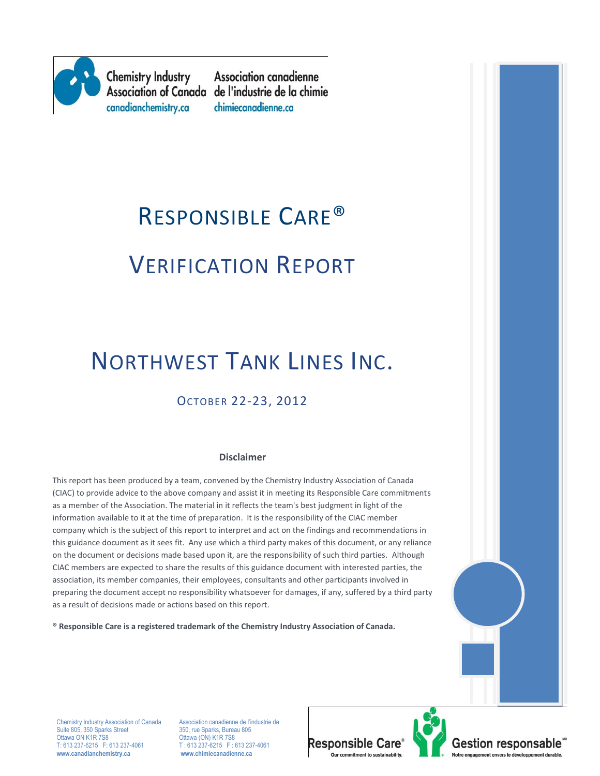

**Chemistry Industry** canadianchemistry.ca

**Association canadienne** Association of Canada de l'industrie de la chimie chimiecanadienne.ca

# RESPONSIBLE CARE® VERIFICATION REPORT

# NORTHWEST TANK LINES INC.

# OCTOBER 22-23, 2012

#### **Disclaimer**

This report has been produced by a team, convened by the Chemistry Industry Association of Canada (CIAC) to provide advice to the above company and assist it in meeting its Responsible Care commitments as a member of the Association. The material in it reflects the team's best judgment in light of the information available to it at the time of preparation. It is the responsibility of the CIAC member company which is the subject of this report to interpret and act on the findings and recommendations in this guidance document as it sees fit. Any use which a third party makes of this document, or any reliance on the document or decisions made based upon it, are the responsibility of such third parties. Although CIAC members are expected to share the results of this guidance document with interested parties, the association, its member companies, their employees, consultants and other participants involved in preparing the document accept no responsibility whatsoever for damages, if any, suffered by a third party as a result of decisions made or actions based on this report.

**® Responsible Care is a registered trademark of the Chemistry Industry Association of Canada.** 

Suite 805, 350 Sparks Street<br>Ottawa ON K1R 7S8 Ottawa ON K1R 7S8 CHE CHE CHE CON) K1R 7S8<br>T: 613 237-6215 F: 613 237-4061 T: 613 237-6215 F: 0 **www.canadianchemistry.ca www.chimiecanadienne.ca**

Chemistry Industry Association of Canada Association canadienne de l'industrie de<br>
Suite 805, 350 Sparks Street<br>
350, rue Sparks, Bureau 805  $T: 613\overline{2}37-6215$  F: 613 237-4061<br>www.chimiecanadienne.ca



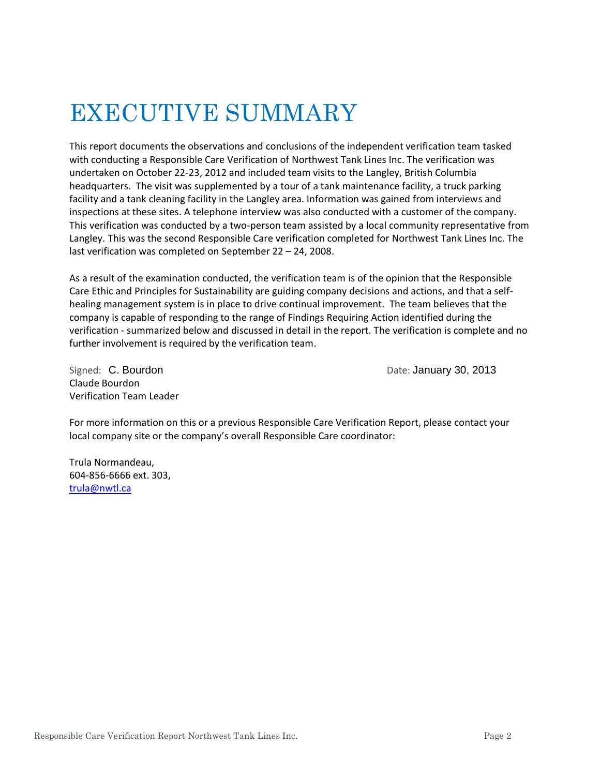# EXECUTIVE SUMMARY

This report documents the observations and conclusions of the independent verification team tasked with conducting a Responsible Care Verification of Northwest Tank Lines Inc. The verification was undertaken on October 22-23, 2012 and included team visits to the Langley, British Columbia headquarters. The visit was supplemented by a tour of a tank maintenance facility, a truck parking facility and a tank cleaning facility in the Langley area. Information was gained from interviews and inspections at these sites. A telephone interview was also conducted with a customer of the company. This verification was conducted by a two-person team assisted by a local community representative from Langley. This was the second Responsible Care verification completed for Northwest Tank Lines Inc. The last verification was completed on September 22 – 24, 2008.

As a result of the examination conducted, the verification team is of the opinion that the Responsible Care Ethic and Principles for Sustainability are guiding company decisions and actions, and that a selfhealing management system is in place to drive continual improvement. The team believes that the company is capable of responding to the range of Findings Requiring Action identified during the verification - summarized below and discussed in detail in the report. The verification is complete and no further involvement is required by the verification team.

Claude Bourdon Verification Team Leader

Signed: C. Bourdon **Date: January 30, 2013** 

For more information on this or a previous Responsible Care Verification Report, please contact your local company site or the company's overall Responsible Care coordinator:

Trula Normandeau, 604-856-6666 ext. 303, [trula@nwtl.ca](mailto:trula@nwtl.ca)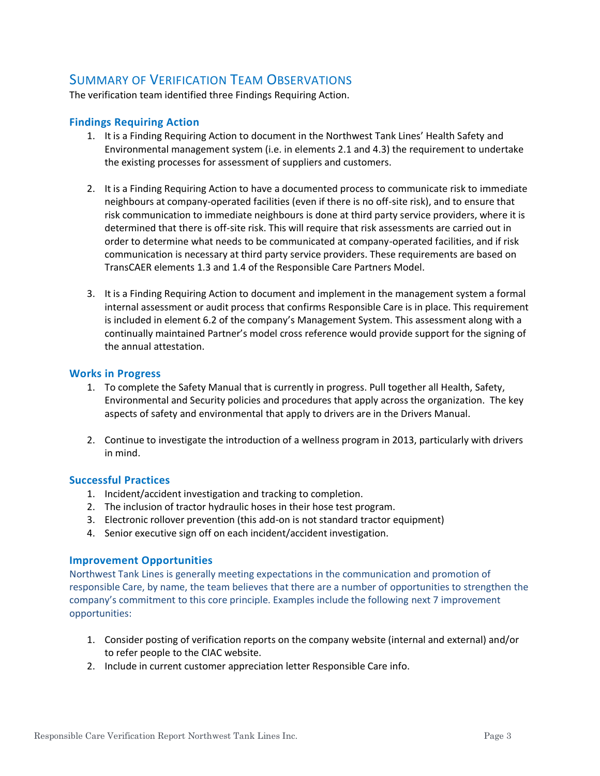### SUMMARY OF VERIFICATION TEAM OBSERVATIONS

The verification team identified three Findings Requiring Action.

#### **Findings Requiring Action**

- 1. It is a Finding Requiring Action to document in the Northwest Tank Lines' Health Safety and Environmental management system (i.e. in elements 2.1 and 4.3) the requirement to undertake the existing processes for assessment of suppliers and customers.
- 2. It is a Finding Requiring Action to have a documented process to communicate risk to immediate neighbours at company-operated facilities (even if there is no off-site risk), and to ensure that risk communication to immediate neighbours is done at third party service providers, where it is determined that there is off-site risk. This will require that risk assessments are carried out in order to determine what needs to be communicated at company-operated facilities, and if risk communication is necessary at third party service providers. These requirements are based on TransCAER elements 1.3 and 1.4 of the Responsible Care Partners Model.
- 3. It is a Finding Requiring Action to document and implement in the management system a formal internal assessment or audit process that confirms Responsible Care is in place. This requirement is included in element 6.2 of the company's Management System. This assessment along with a continually maintained Partner's model cross reference would provide support for the signing of the annual attestation.

#### **Works in Progress**

- 1. To complete the Safety Manual that is currently in progress. Pull together all Health, Safety, Environmental and Security policies and procedures that apply across the organization. The key aspects of safety and environmental that apply to drivers are in the Drivers Manual.
- 2. Continue to investigate the introduction of a wellness program in 2013, particularly with drivers in mind.

#### **Successful Practices**

- 1. Incident/accident investigation and tracking to completion.
- 2. The inclusion of tractor hydraulic hoses in their hose test program.
- 3. Electronic rollover prevention (this add-on is not standard tractor equipment)
- 4. Senior executive sign off on each incident/accident investigation.

#### **Improvement Opportunities**

Northwest Tank Lines is generally meeting expectations in the communication and promotion of responsible Care, by name, the team believes that there are a number of opportunities to strengthen the company's commitment to this core principle. Examples include the following next 7 improvement opportunities:

- 1. Consider posting of verification reports on the company website (internal and external) and/or to refer people to the CIAC website.
- 2. Include in current customer appreciation letter Responsible Care info.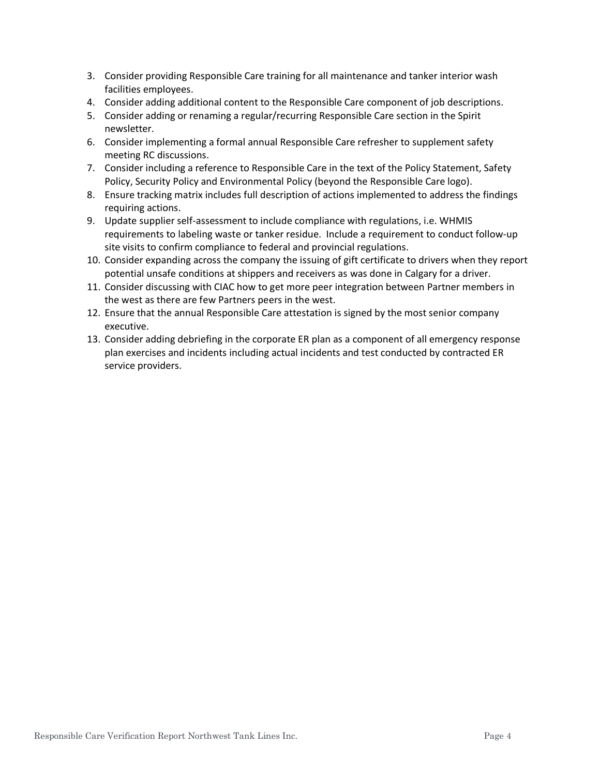- 3. Consider providing Responsible Care training for all maintenance and tanker interior wash facilities employees.
- 4. Consider adding additional content to the Responsible Care component of job descriptions.
- 5. Consider adding or renaming a regular/recurring Responsible Care section in the Spirit newsletter.
- 6. Consider implementing a formal annual Responsible Care refresher to supplement safety meeting RC discussions.
- 7. Consider including a reference to Responsible Care in the text of the Policy Statement, Safety Policy, Security Policy and Environmental Policy (beyond the Responsible Care logo).
- 8. Ensure tracking matrix includes full description of actions implemented to address the findings requiring actions.
- 9. Update supplier self-assessment to include compliance with regulations, i.e. WHMIS requirements to labeling waste or tanker residue. Include a requirement to conduct follow-up site visits to confirm compliance to federal and provincial regulations.
- 10. Consider expanding across the company the issuing of gift certificate to drivers when they report potential unsafe conditions at shippers and receivers as was done in Calgary for a driver.
- 11. Consider discussing with CIAC how to get more peer integration between Partner members in the west as there are few Partners peers in the west.
- 12. Ensure that the annual Responsible Care attestation is signed by the most senior company executive.
- 13. Consider adding debriefing in the corporate ER plan as a component of all emergency response plan exercises and incidents including actual incidents and test conducted by contracted ER service providers.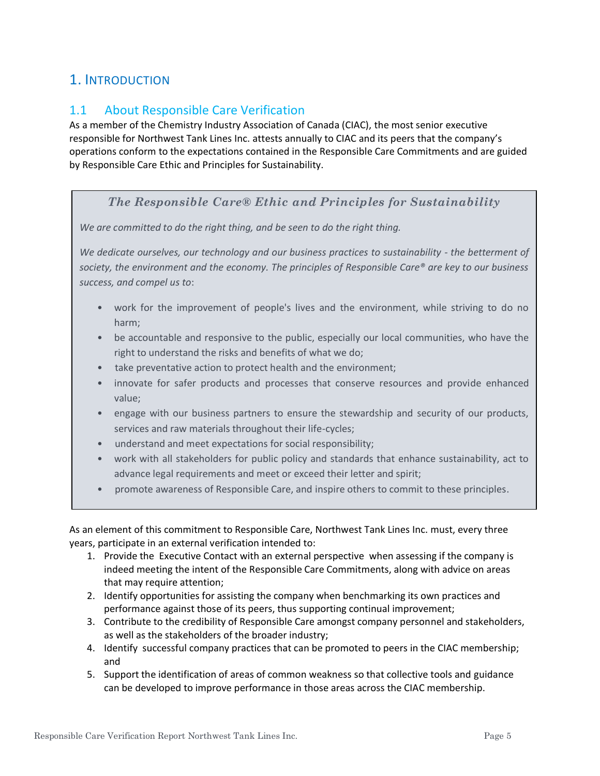# 1. INTRODUCTION

## 1.1 About Responsible Care Verification

As a member of the Chemistry Industry Association of Canada (CIAC), the most senior executive responsible for Northwest Tank Lines Inc. attests annually to CIAC and its peers that the company's operations conform to the expectations contained in the Responsible Care Commitments and are guided by Responsible Care Ethic and Principles for Sustainability.

#### *The Responsible Care® Ethic and Principles for Sustainability*

*We are committed to do the right thing, and be seen to do the right thing.*

*We dedicate ourselves, our technology and our business practices to sustainability - the betterment of society, the environment and the economy. The principles of Responsible Care® are key to our business success, and compel us to*:

- work for the improvement of people's lives and the environment, while striving to do no harm;
- be accountable and responsive to the public, especially our local communities, who have the right to understand the risks and benefits of what we do;
- take preventative action to protect health and the environment;
- innovate for safer products and processes that conserve resources and provide enhanced value;
- engage with our business partners to ensure the stewardship and security of our products, services and raw materials throughout their life-cycles;
- understand and meet expectations for social responsibility;
- work with all stakeholders for public policy and standards that enhance sustainability, act to advance legal requirements and meet or exceed their letter and spirit;
- promote awareness of Responsible Care, and inspire others to commit to these principles.

As an element of this commitment to Responsible Care, Northwest Tank Lines Inc. must, every three years, participate in an external verification intended to:

- 1. Provide the Executive Contact with an external perspective when assessing if the company is indeed meeting the intent of the Responsible Care Commitments, along with advice on areas that may require attention;
- 2. Identify opportunities for assisting the company when benchmarking its own practices and performance against those of its peers, thus supporting continual improvement;
- 3. Contribute to the credibility of Responsible Care amongst company personnel and stakeholders, as well as the stakeholders of the broader industry;
- 4. Identify successful company practices that can be promoted to peers in the CIAC membership; and
- 5. Support the identification of areas of common weakness so that collective tools and guidance can be developed to improve performance in those areas across the CIAC membership.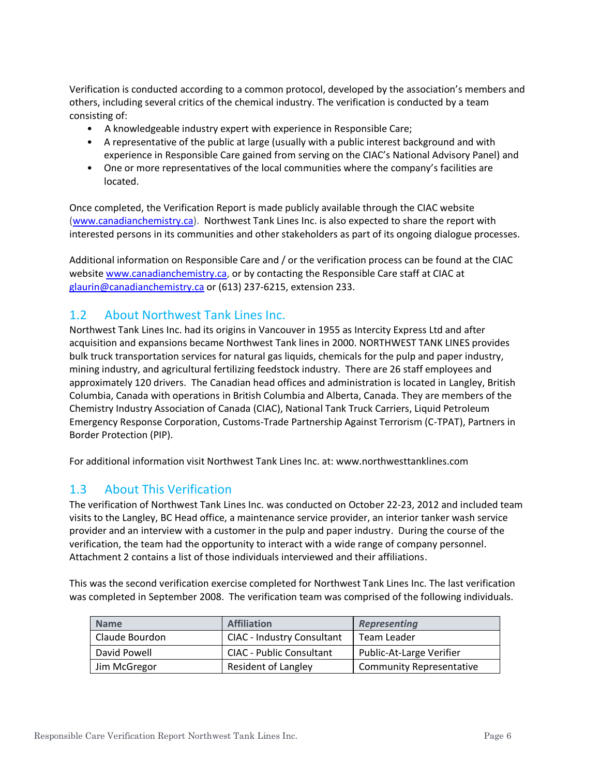Verification is conducted according to a common protocol, developed by the association's members and others, including several critics of the chemical industry. The verification is conducted by a team consisting of:

- A knowledgeable industry expert with experience in Responsible Care;
- A representative of the public at large (usually with a public interest background and with experience in Responsible Care gained from serving on the CIAC's National Advisory Panel) and
- One or more representatives of the local communities where the company's facilities are located.

Once completed, the Verification Report is made publicly available through the CIAC website [\(www.canadianchemistry.ca\)](http://www.canadianchemistry.ca/). Northwest Tank Lines Inc. is also expected to share the report with interested persons in its communities and other stakeholders as part of its ongoing dialogue processes.

Additional information on Responsible Care and / or the verification process can be found at the CIAC website [www.canadianchemistry.ca,](http://www.canadianchemistry.ca/) or by contacting the Responsible Care staff at CIAC at [glaurin@canadianchemistry.ca](mailto:glaurin@canadianchemistry.ca) or (613) 237-6215, extension 233.

#### 1.2 About Northwest Tank Lines Inc.

Northwest Tank Lines Inc. had its origins in Vancouver in 1955 as Intercity Express Ltd and after acquisition and expansions became Northwest Tank lines in 2000. NORTHWEST TANK LINES provides bulk truck transportation services for natural gas liquids, chemicals for the pulp and paper industry, mining industry, and agricultural fertilizing feedstock industry. There are 26 staff employees and approximately 120 drivers. The Canadian head offices and administration is located in Langley, British Columbia, Canada with operations in British Columbia and Alberta, Canada. They are members of the Chemistry Industry Association of Canada (CIAC), National Tank Truck Carriers, Liquid Petroleum Emergency Response Corporation, Customs-Trade Partnership Against Terrorism (C-TPAT), Partners in Border Protection (PIP).

For additional information visit Northwest Tank Lines Inc. at: www.northwesttanklines.com

#### 1.3 About This Verification

The verification of Northwest Tank Lines Inc. was conducted on October 22-23, 2012 and included team visits to the Langley, BC Head office, a maintenance service provider, an interior tanker wash service provider and an interview with a customer in the pulp and paper industry. During the course of the verification, the team had the opportunity to interact with a wide range of company personnel. Attachment 2 contains a list of those individuals interviewed and their affiliations.

This was the second verification exercise completed for Northwest Tank Lines Inc. The last verification was completed in September 2008. The verification team was comprised of the following individuals.

| <b>Name</b>    | <b>Affiliation</b>              | <b>Representing</b>             |
|----------------|---------------------------------|---------------------------------|
| Claude Bourdon | CIAC - Industry Consultant      | Team Leader                     |
| David Powell   | <b>CIAC - Public Consultant</b> | Public-At-Large Verifier        |
| Jim McGregor   | <b>Resident of Langley</b>      | <b>Community Representative</b> |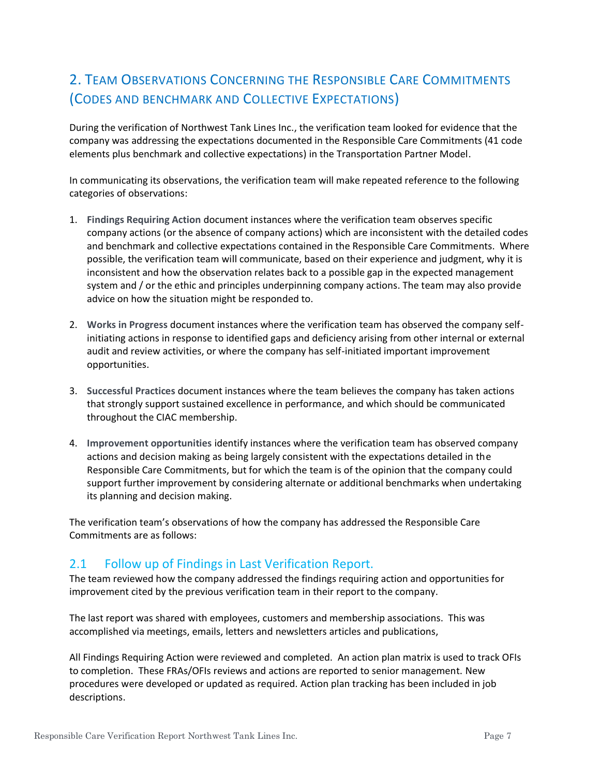# 2. TEAM OBSERVATIONS CONCERNING THE RESPONSIBLE CARE COMMITMENTS (CODES AND BENCHMARK AND COLLECTIVE EXPECTATIONS)

During the verification of Northwest Tank Lines Inc., the verification team looked for evidence that the company was addressing the expectations documented in the Responsible Care Commitments (41 code elements plus benchmark and collective expectations) in the Transportation Partner Model.

In communicating its observations, the verification team will make repeated reference to the following categories of observations:

- 1. **Findings Requiring Action** document instances where the verification team observes specific company actions (or the absence of company actions) which are inconsistent with the detailed codes and benchmark and collective expectations contained in the Responsible Care Commitments. Where possible, the verification team will communicate, based on their experience and judgment, why it is inconsistent and how the observation relates back to a possible gap in the expected management system and / or the ethic and principles underpinning company actions. The team may also provide advice on how the situation might be responded to.
- 2. **Works in Progress** document instances where the verification team has observed the company selfinitiating actions in response to identified gaps and deficiency arising from other internal or external audit and review activities, or where the company has self-initiated important improvement opportunities.
- 3. **Successful Practices** document instances where the team believes the company has taken actions that strongly support sustained excellence in performance, and which should be communicated throughout the CIAC membership.
- 4. **Improvement opportunities** identify instances where the verification team has observed company actions and decision making as being largely consistent with the expectations detailed in the Responsible Care Commitments, but for which the team is of the opinion that the company could support further improvement by considering alternate or additional benchmarks when undertaking its planning and decision making.

The verification team's observations of how the company has addressed the Responsible Care Commitments are as follows:

#### 2.1 Follow up of Findings in Last Verification Report.

The team reviewed how the company addressed the findings requiring action and opportunities for improvement cited by the previous verification team in their report to the company.

The last report was shared with employees, customers and membership associations. This was accomplished via meetings, emails, letters and newsletters articles and publications,

All Findings Requiring Action were reviewed and completed. An action plan matrix is used to track OFIs to completion. These FRAs/OFIs reviews and actions are reported to senior management. New procedures were developed or updated as required. Action plan tracking has been included in job descriptions.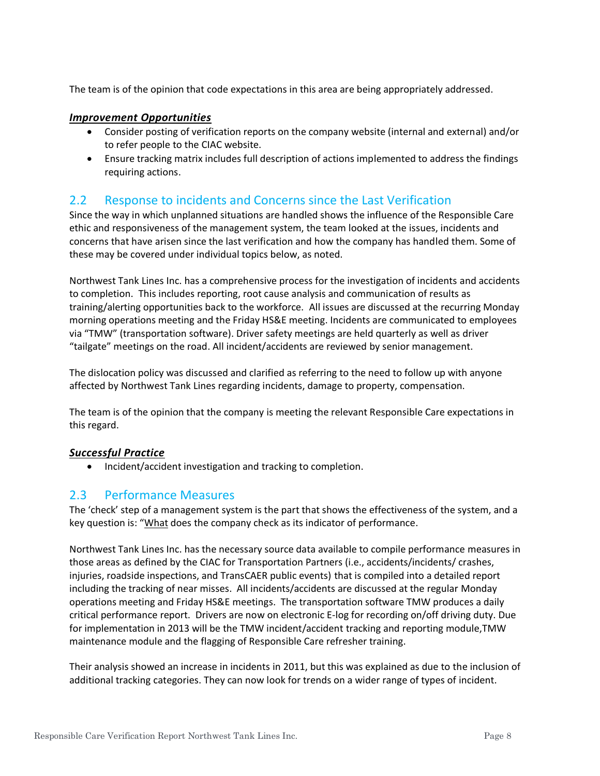The team is of the opinion that code expectations in this area are being appropriately addressed.

#### *Improvement Opportunities*

- Consider posting of verification reports on the company website (internal and external) and/or to refer people to the CIAC website.
- Ensure tracking matrix includes full description of actions implemented to address the findings requiring actions.

### 2.2 Response to incidents and Concerns since the Last Verification

Since the way in which unplanned situations are handled shows the influence of the Responsible Care ethic and responsiveness of the management system, the team looked at the issues, incidents and concerns that have arisen since the last verification and how the company has handled them. Some of these may be covered under individual topics below, as noted.

Northwest Tank Lines Inc. has a comprehensive process for the investigation of incidents and accidents to completion. This includes reporting, root cause analysis and communication of results as training/alerting opportunities back to the workforce. All issues are discussed at the recurring Monday morning operations meeting and the Friday HS&E meeting. Incidents are communicated to employees via "TMW" (transportation software). Driver safety meetings are held quarterly as well as driver "tailgate" meetings on the road. All incident/accidents are reviewed by senior management.

The dislocation policy was discussed and clarified as referring to the need to follow up with anyone affected by Northwest Tank Lines regarding incidents, damage to property, compensation.

The team is of the opinion that the company is meeting the relevant Responsible Care expectations in this regard.

#### *Successful Practice*

• Incident/accident investigation and tracking to completion.

#### 2.3 Performance Measures

The 'check' step of a management system is the part that shows the effectiveness of the system, and a key question is: "What does the company check as its indicator of performance.

Northwest Tank Lines Inc. has the necessary source data available to compile performance measures in those areas as defined by the CIAC for Transportation Partners (i.e., accidents/incidents/ crashes, injuries, roadside inspections, and TransCAER public events) that is compiled into a detailed report including the tracking of near misses. All incidents/accidents are discussed at the regular Monday operations meeting and Friday HS&E meetings. The transportation software TMW produces a daily critical performance report. Drivers are now on electronic E-log for recording on/off driving duty. Due for implementation in 2013 will be the TMW incident/accident tracking and reporting module,TMW maintenance module and the flagging of Responsible Care refresher training.

Their analysis showed an increase in incidents in 2011, but this was explained as due to the inclusion of additional tracking categories. They can now look for trends on a wider range of types of incident.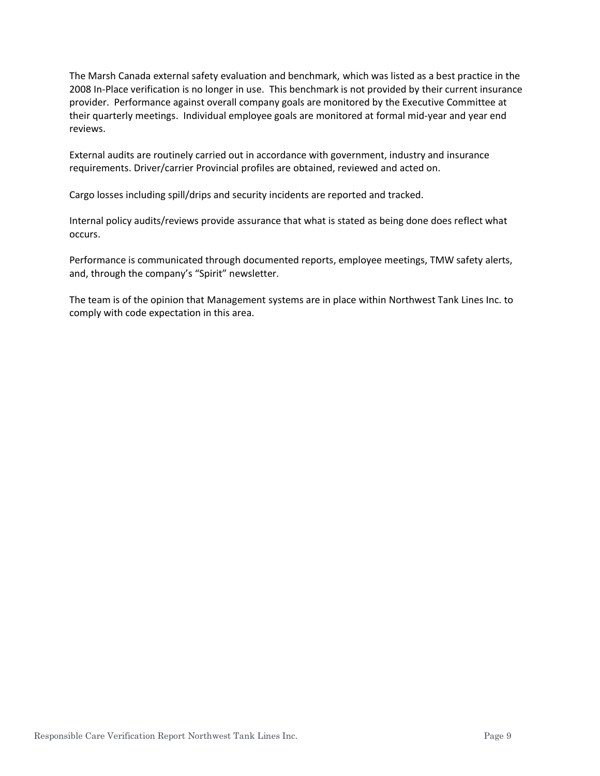The Marsh Canada external safety evaluation and benchmark, which was listed as a best practice in the 2008 In-Place verification is no longer in use. This benchmark is not provided by their current insurance provider. Performance against overall company goals are monitored by the Executive Committee at their quarterly meetings. Individual employee goals are monitored at formal mid-year and year end reviews.

External audits are routinely carried out in accordance with government, industry and insurance requirements. Driver/carrier Provincial profiles are obtained, reviewed and acted on.

Cargo losses including spill/drips and security incidents are reported and tracked.

Internal policy audits/reviews provide assurance that what is stated as being done does reflect what occurs.

Performance is communicated through documented reports, employee meetings, TMW safety alerts, and, through the company's "Spirit" newsletter.

The team is of the opinion that Management systems are in place within Northwest Tank Lines Inc. to comply with code expectation in this area.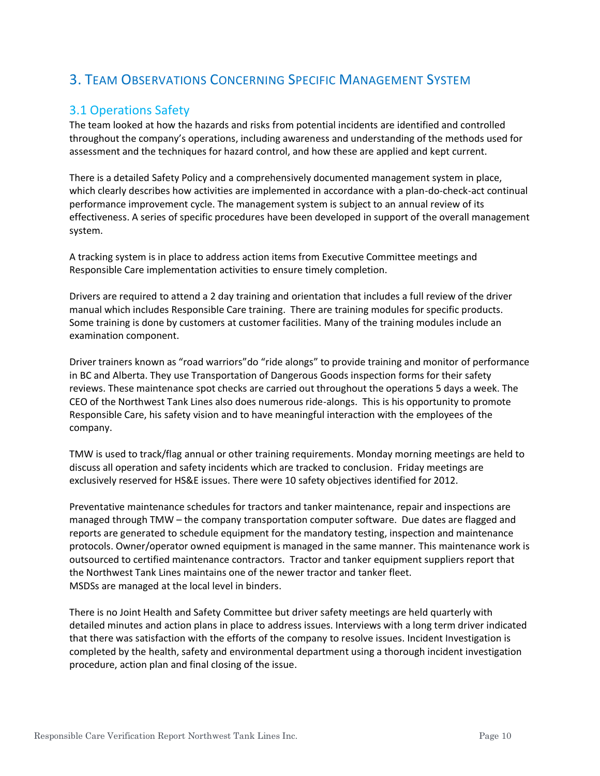# 3. TEAM OBSERVATIONS CONCERNING SPECIFIC MANAGEMENT SYSTEM

# 3.1 Operations Safety

The team looked at how the hazards and risks from potential incidents are identified and controlled throughout the company's operations, including awareness and understanding of the methods used for assessment and the techniques for hazard control, and how these are applied and kept current.

There is a detailed Safety Policy and a comprehensively documented management system in place, which clearly describes how activities are implemented in accordance with a plan-do-check-act continual performance improvement cycle. The management system is subject to an annual review of its effectiveness. A series of specific procedures have been developed in support of the overall management system.

A tracking system is in place to address action items from Executive Committee meetings and Responsible Care implementation activities to ensure timely completion.

Drivers are required to attend a 2 day training and orientation that includes a full review of the driver manual which includes Responsible Care training. There are training modules for specific products. Some training is done by customers at customer facilities. Many of the training modules include an examination component.

Driver trainers known as "road warriors"do "ride alongs" to provide training and monitor of performance in BC and Alberta. They use Transportation of Dangerous Goods inspection forms for their safety reviews. These maintenance spot checks are carried out throughout the operations 5 days a week. The CEO of the Northwest Tank Lines also does numerous ride-alongs. This is his opportunity to promote Responsible Care, his safety vision and to have meaningful interaction with the employees of the company.

TMW is used to track/flag annual or other training requirements. Monday morning meetings are held to discuss all operation and safety incidents which are tracked to conclusion. Friday meetings are exclusively reserved for HS&E issues. There were 10 safety objectives identified for 2012.

Preventative maintenance schedules for tractors and tanker maintenance, repair and inspections are managed through TMW – the company transportation computer software. Due dates are flagged and reports are generated to schedule equipment for the mandatory testing, inspection and maintenance protocols. Owner/operator owned equipment is managed in the same manner. This maintenance work is outsourced to certified maintenance contractors. Tractor and tanker equipment suppliers report that the Northwest Tank Lines maintains one of the newer tractor and tanker fleet. MSDSs are managed at the local level in binders.

There is no Joint Health and Safety Committee but driver safety meetings are held quarterly with detailed minutes and action plans in place to address issues. Interviews with a long term driver indicated that there was satisfaction with the efforts of the company to resolve issues. Incident Investigation is completed by the health, safety and environmental department using a thorough incident investigation procedure, action plan and final closing of the issue.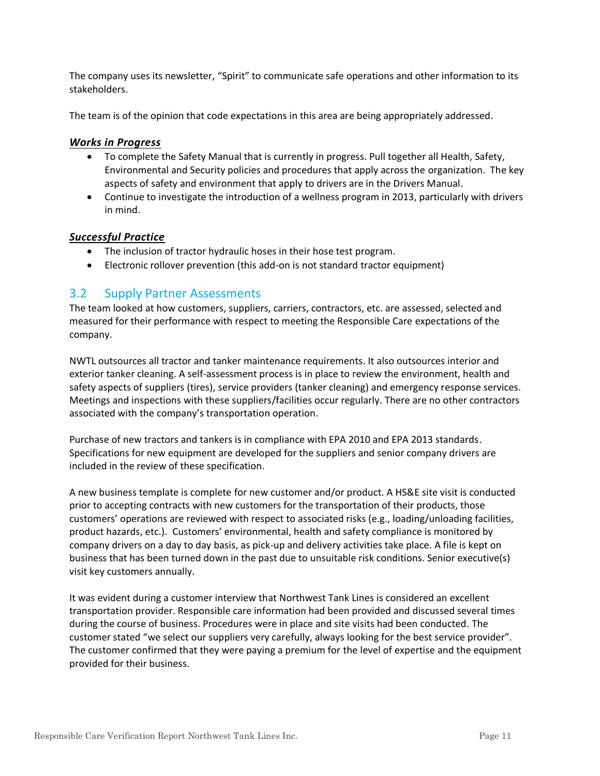The company uses its newsletter, "Spirit" to communicate safe operations and other information to its stakeholders.

The team is of the opinion that code expectations in this area are being appropriately addressed.

#### *Works in Progress*

- To complete the Safety Manual that is currently in progress. Pull together all Health, Safety, Environmental and Security policies and procedures that apply across the organization. The key aspects of safety and environment that apply to drivers are in the Drivers Manual.
- Continue to investigate the introduction of a wellness program in 2013, particularly with drivers in mind.

#### *Successful Practice*

- The inclusion of tractor hydraulic hoses in their hose test program.
- Electronic rollover prevention (this add-on is not standard tractor equipment)

#### 3.2 Supply Partner Assessments

The team looked at how customers, suppliers, carriers, contractors, etc. are assessed, selected and measured for their performance with respect to meeting the Responsible Care expectations of the company.

NWTL outsources all tractor and tanker maintenance requirements. It also outsources interior and exterior tanker cleaning. A self-assessment process is in place to review the environment, health and safety aspects of suppliers (tires), service providers (tanker cleaning) and emergency response services. Meetings and inspections with these suppliers/facilities occur regularly. There are no other contractors associated with the company's transportation operation.

Purchase of new tractors and tankers is in compliance with EPA 2010 and EPA 2013 standards. Specifications for new equipment are developed for the suppliers and senior company drivers are included in the review of these specification.

A new business template is complete for new customer and/or product. A HS&E site visit is conducted prior to accepting contracts with new customers for the transportation of their products, those customers' operations are reviewed with respect to associated risks (e.g., loading/unloading facilities, product hazards, etc.). Customers' environmental, health and safety compliance is monitored by company drivers on a day to day basis, as pick-up and delivery activities take place. A file is kept on business that has been turned down in the past due to unsuitable risk conditions. Senior executive(s) visit key customers annually.

It was evident during a customer interview that Northwest Tank Lines is considered an excellent transportation provider. Responsible care information had been provided and discussed several times during the course of business. Procedures were in place and site visits had been conducted. The customer stated "we select our suppliers very carefully, always looking for the best service provider". The customer confirmed that they were paying a premium for the level of expertise and the equipment provided for their business.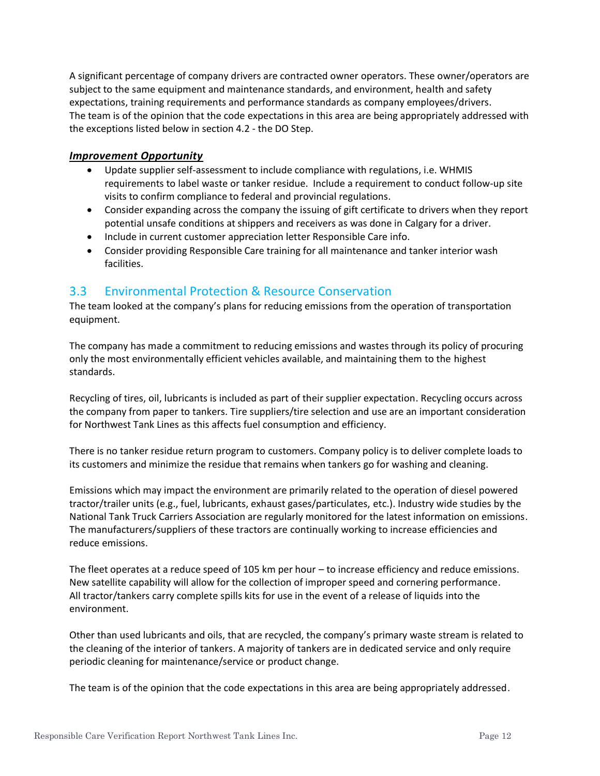A significant percentage of company drivers are contracted owner operators. These owner/operators are subject to the same equipment and maintenance standards, and environment, health and safety expectations, training requirements and performance standards as company employees/drivers. The team is of the opinion that the code expectations in this area are being appropriately addressed with the exceptions listed below in section 4.2 - the DO Step.

#### *Improvement Opportunity*

- Update supplier self-assessment to include compliance with regulations, i.e. WHMIS requirements to label waste or tanker residue. Include a requirement to conduct follow-up site visits to confirm compliance to federal and provincial regulations.
- Consider expanding across the company the issuing of gift certificate to drivers when they report potential unsafe conditions at shippers and receivers as was done in Calgary for a driver.
- Include in current customer appreciation letter Responsible Care info.
- Consider providing Responsible Care training for all maintenance and tanker interior wash facilities.

#### 3.3 Environmental Protection & Resource Conservation

The team looked at the company's plans for reducing emissions from the operation of transportation equipment.

The company has made a commitment to reducing emissions and wastes through its policy of procuring only the most environmentally efficient vehicles available, and maintaining them to the highest standards.

Recycling of tires, oil, lubricants is included as part of their supplier expectation. Recycling occurs across the company from paper to tankers. Tire suppliers/tire selection and use are an important consideration for Northwest Tank Lines as this affects fuel consumption and efficiency.

There is no tanker residue return program to customers. Company policy is to deliver complete loads to its customers and minimize the residue that remains when tankers go for washing and cleaning.

Emissions which may impact the environment are primarily related to the operation of diesel powered tractor/trailer units (e.g., fuel, lubricants, exhaust gases/particulates, etc.). Industry wide studies by the National Tank Truck Carriers Association are regularly monitored for the latest information on emissions. The manufacturers/suppliers of these tractors are continually working to increase efficiencies and reduce emissions.

The fleet operates at a reduce speed of 105 km per hour – to increase efficiency and reduce emissions. New satellite capability will allow for the collection of improper speed and cornering performance. All tractor/tankers carry complete spills kits for use in the event of a release of liquids into the environment.

Other than used lubricants and oils, that are recycled, the company's primary waste stream is related to the cleaning of the interior of tankers. A majority of tankers are in dedicated service and only require periodic cleaning for maintenance/service or product change.

The team is of the opinion that the code expectations in this area are being appropriately addressed.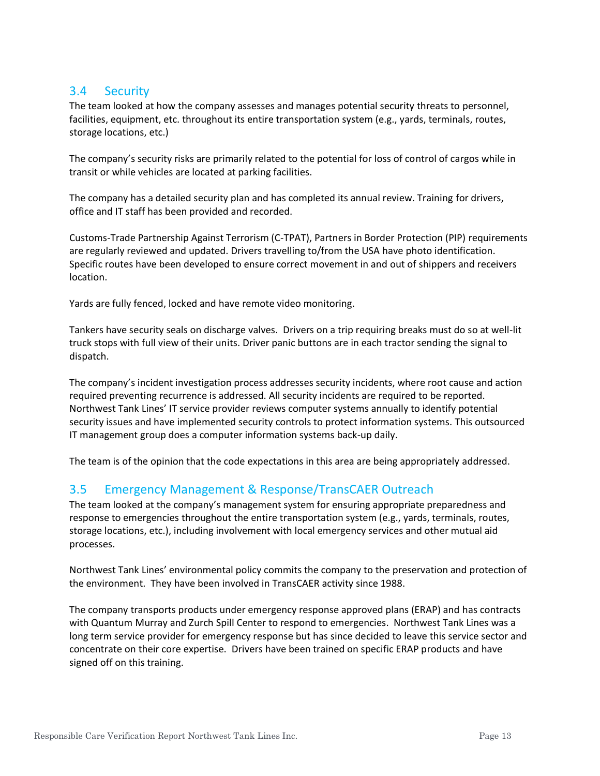#### 3.4 Security

The team looked at how the company assesses and manages potential security threats to personnel, facilities, equipment, etc. throughout its entire transportation system (e.g., yards, terminals, routes, storage locations, etc.)

The company's security risks are primarily related to the potential for loss of control of cargos while in transit or while vehicles are located at parking facilities.

The company has a detailed security plan and has completed its annual review. Training for drivers, office and IT staff has been provided and recorded.

Customs-Trade Partnership Against Terrorism (C-TPAT), Partners in Border Protection (PIP) requirements are regularly reviewed and updated. Drivers travelling to/from the USA have photo identification. Specific routes have been developed to ensure correct movement in and out of shippers and receivers location.

Yards are fully fenced, locked and have remote video monitoring.

Tankers have security seals on discharge valves. Drivers on a trip requiring breaks must do so at well-lit truck stops with full view of their units. Driver panic buttons are in each tractor sending the signal to dispatch.

The company's incident investigation process addresses security incidents, where root cause and action required preventing recurrence is addressed. All security incidents are required to be reported. Northwest Tank Lines' IT service provider reviews computer systems annually to identify potential security issues and have implemented security controls to protect information systems. This outsourced IT management group does a computer information systems back-up daily.

The team is of the opinion that the code expectations in this area are being appropriately addressed.

# 3.5 Emergency Management & Response/TransCAER Outreach

The team looked at the company's management system for ensuring appropriate preparedness and response to emergencies throughout the entire transportation system (e.g., yards, terminals, routes, storage locations, etc.), including involvement with local emergency services and other mutual aid processes.

Northwest Tank Lines' environmental policy commits the company to the preservation and protection of the environment. They have been involved in TransCAER activity since 1988.

The company transports products under emergency response approved plans (ERAP) and has contracts with Quantum Murray and Zurch Spill Center to respond to emergencies. Northwest Tank Lines was a long term service provider for emergency response but has since decided to leave this service sector and concentrate on their core expertise. Drivers have been trained on specific ERAP products and have signed off on this training.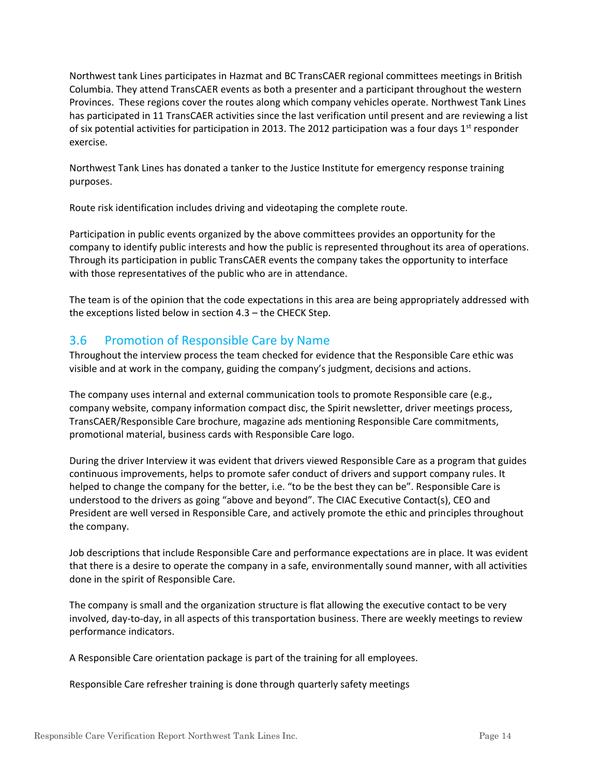Northwest tank Lines participates in Hazmat and BC TransCAER regional committees meetings in British Columbia. They attend TransCAER events as both a presenter and a participant throughout the western Provinces. These regions cover the routes along which company vehicles operate. Northwest Tank Lines has participated in 11 TransCAER activities since the last verification until present and are reviewing a list of six potential activities for participation in 2013. The 2012 participation was a four days  $1<sup>st</sup>$  responder exercise.

Northwest Tank Lines has donated a tanker to the Justice Institute for emergency response training purposes.

Route risk identification includes driving and videotaping the complete route.

Participation in public events organized by the above committees provides an opportunity for the company to identify public interests and how the public is represented throughout its area of operations. Through its participation in public TransCAER events the company takes the opportunity to interface with those representatives of the public who are in attendance.

The team is of the opinion that the code expectations in this area are being appropriately addressed with the exceptions listed below in section 4.3 – the CHECK Step.

#### 3.6 Promotion of Responsible Care by Name

Throughout the interview process the team checked for evidence that the Responsible Care ethic was visible and at work in the company, guiding the company's judgment, decisions and actions.

The company uses internal and external communication tools to promote Responsible care (e.g., company website, company information compact disc, the Spirit newsletter, driver meetings process, TransCAER/Responsible Care brochure, magazine ads mentioning Responsible Care commitments, promotional material, business cards with Responsible Care logo.

During the driver Interview it was evident that drivers viewed Responsible Care as a program that guides continuous improvements, helps to promote safer conduct of drivers and support company rules. It helped to change the company for the better, i.e. "to be the best they can be". Responsible Care is understood to the drivers as going "above and beyond". The CIAC Executive Contact(s), CEO and President are well versed in Responsible Care, and actively promote the ethic and principles throughout the company.

Job descriptions that include Responsible Care and performance expectations are in place. It was evident that there is a desire to operate the company in a safe, environmentally sound manner, with all activities done in the spirit of Responsible Care.

The company is small and the organization structure is flat allowing the executive contact to be very involved, day-to-day, in all aspects of this transportation business. There are weekly meetings to review performance indicators.

A Responsible Care orientation package is part of the training for all employees.

Responsible Care refresher training is done through quarterly safety meetings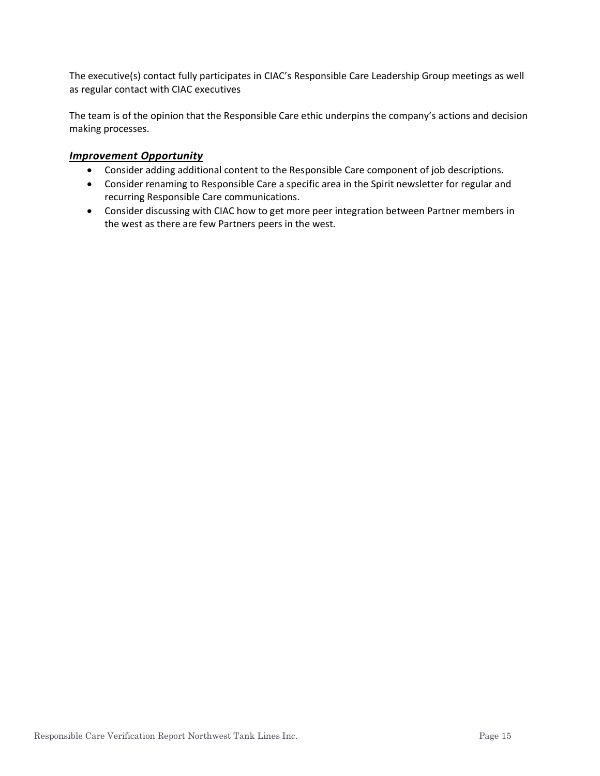The executive(s) contact fully participates in CIAC's Responsible Care Leadership Group meetings as well as regular contact with CIAC executives

The team is of the opinion that the Responsible Care ethic underpins the company's actions and decision making processes.

#### *Improvement Opportunity*

- Consider adding additional content to the Responsible Care component of job descriptions.
- Consider renaming to Responsible Care a specific area in the Spirit newsletter for regular and recurring Responsible Care communications.
- Consider discussing with CIAC how to get more peer integration between Partner members in the west as there are few Partners peers in the west.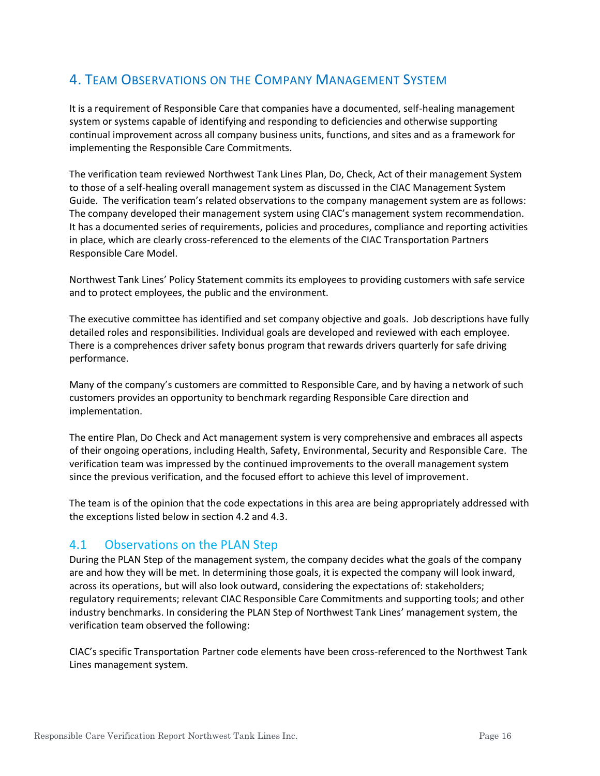# 4. TEAM OBSERVATIONS ON THE COMPANY MANAGEMENT SYSTEM

It is a requirement of Responsible Care that companies have a documented, self-healing management system or systems capable of identifying and responding to deficiencies and otherwise supporting continual improvement across all company business units, functions, and sites and as a framework for implementing the Responsible Care Commitments.

The verification team reviewed Northwest Tank Lines Plan, Do, Check, Act of their management System to those of a self-healing overall management system as discussed in the CIAC Management System Guide. The verification team's related observations to the company management system are as follows: The company developed their management system using CIAC's management system recommendation. It has a documented series of requirements, policies and procedures, compliance and reporting activities in place, which are clearly cross-referenced to the elements of the CIAC Transportation Partners Responsible Care Model.

Northwest Tank Lines' Policy Statement commits its employees to providing customers with safe service and to protect employees, the public and the environment.

The executive committee has identified and set company objective and goals. Job descriptions have fully detailed roles and responsibilities. Individual goals are developed and reviewed with each employee. There is a comprehences driver safety bonus program that rewards drivers quarterly for safe driving performance.

Many of the company's customers are committed to Responsible Care, and by having a network of such customers provides an opportunity to benchmark regarding Responsible Care direction and implementation.

The entire Plan, Do Check and Act management system is very comprehensive and embraces all aspects of their ongoing operations, including Health, Safety, Environmental, Security and Responsible Care. The verification team was impressed by the continued improvements to the overall management system since the previous verification, and the focused effort to achieve this level of improvement.

The team is of the opinion that the code expectations in this area are being appropriately addressed with the exceptions listed below in section 4.2 and 4.3.

#### 4.1 Observations on the PLAN Step

During the PLAN Step of the management system, the company decides what the goals of the company are and how they will be met. In determining those goals, it is expected the company will look inward, across its operations, but will also look outward, considering the expectations of: stakeholders; regulatory requirements; relevant CIAC Responsible Care Commitments and supporting tools; and other industry benchmarks. In considering the PLAN Step of Northwest Tank Lines' management system, the verification team observed the following:

CIAC's specific Transportation Partner code elements have been cross-referenced to the Northwest Tank Lines management system.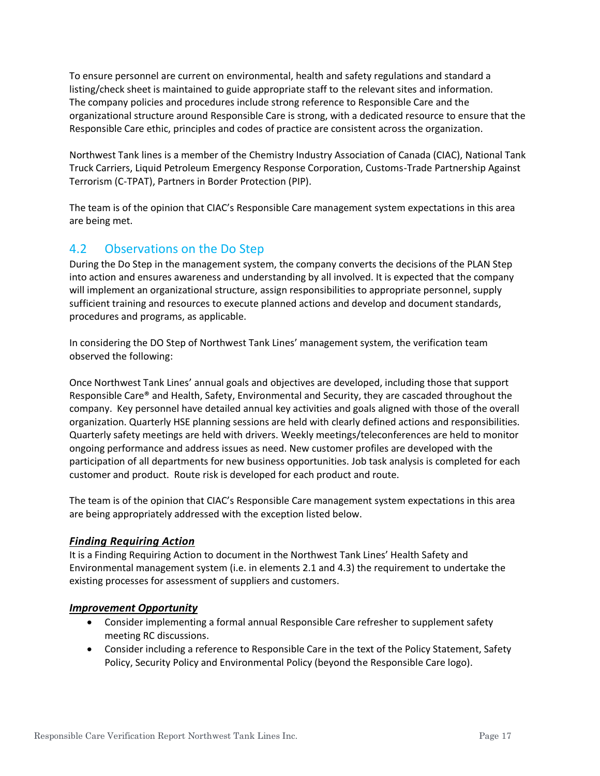To ensure personnel are current on environmental, health and safety regulations and standard a listing/check sheet is maintained to guide appropriate staff to the relevant sites and information. The company policies and procedures include strong reference to Responsible Care and the organizational structure around Responsible Care is strong, with a dedicated resource to ensure that the Responsible Care ethic, principles and codes of practice are consistent across the organization.

Northwest Tank lines is a member of the Chemistry Industry Association of Canada (CIAC), National Tank Truck Carriers, Liquid Petroleum Emergency Response Corporation, Customs-Trade Partnership Against Terrorism (C-TPAT), Partners in Border Protection (PIP).

The team is of the opinion that CIAC's Responsible Care management system expectations in this area are being met.

# 4.2 Observations on the Do Step

During the Do Step in the management system, the company converts the decisions of the PLAN Step into action and ensures awareness and understanding by all involved. It is expected that the company will implement an organizational structure, assign responsibilities to appropriate personnel, supply sufficient training and resources to execute planned actions and develop and document standards, procedures and programs, as applicable.

In considering the DO Step of Northwest Tank Lines' management system, the verification team observed the following:

Once Northwest Tank Lines' annual goals and objectives are developed, including those that support Responsible Care® and Health, Safety, Environmental and Security, they are cascaded throughout the company. Key personnel have detailed annual key activities and goals aligned with those of the overall organization. Quarterly HSE planning sessions are held with clearly defined actions and responsibilities. Quarterly safety meetings are held with drivers. Weekly meetings/teleconferences are held to monitor ongoing performance and address issues as need. New customer profiles are developed with the participation of all departments for new business opportunities. Job task analysis is completed for each customer and product. Route risk is developed for each product and route.

The team is of the opinion that CIAC's Responsible Care management system expectations in this area are being appropriately addressed with the exception listed below.

#### *Finding Requiring Action*

It is a Finding Requiring Action to document in the Northwest Tank Lines' Health Safety and Environmental management system (i.e. in elements 2.1 and 4.3) the requirement to undertake the existing processes for assessment of suppliers and customers.

#### *Improvement Opportunity*

- Consider implementing a formal annual Responsible Care refresher to supplement safety meeting RC discussions.
- Consider including a reference to Responsible Care in the text of the Policy Statement, Safety Policy, Security Policy and Environmental Policy (beyond the Responsible Care logo).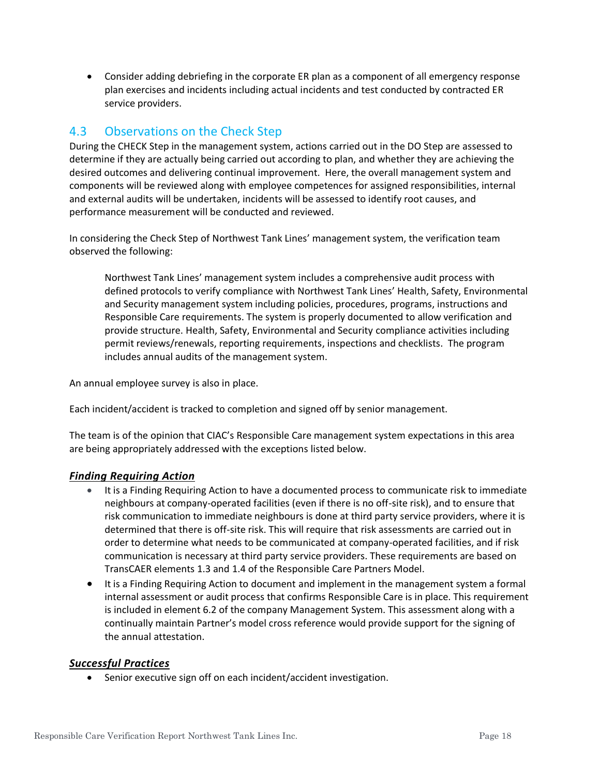• Consider adding debriefing in the corporate ER plan as a component of all emergency response plan exercises and incidents including actual incidents and test conducted by contracted ER service providers.

#### 4.3 Observations on the Check Step

During the CHECK Step in the management system, actions carried out in the DO Step are assessed to determine if they are actually being carried out according to plan, and whether they are achieving the desired outcomes and delivering continual improvement. Here, the overall management system and components will be reviewed along with employee competences for assigned responsibilities, internal and external audits will be undertaken, incidents will be assessed to identify root causes, and performance measurement will be conducted and reviewed.

In considering the Check Step of Northwest Tank Lines' management system, the verification team observed the following:

Northwest Tank Lines' management system includes a comprehensive audit process with defined protocols to verify compliance with Northwest Tank Lines' Health, Safety, Environmental and Security management system including policies, procedures, programs, instructions and Responsible Care requirements. The system is properly documented to allow verification and provide structure. Health, Safety, Environmental and Security compliance activities including permit reviews/renewals, reporting requirements, inspections and checklists. The program includes annual audits of the management system.

An annual employee survey is also in place.

Each incident/accident is tracked to completion and signed off by senior management.

The team is of the opinion that CIAC's Responsible Care management system expectations in this area are being appropriately addressed with the exceptions listed below.

#### *Finding Requiring Action*

- It is a Finding Requiring Action to have a documented process to communicate risk to immediate neighbours at company-operated facilities (even if there is no off-site risk), and to ensure that risk communication to immediate neighbours is done at third party service providers, where it is determined that there is off-site risk. This will require that risk assessments are carried out in order to determine what needs to be communicated at company-operated facilities, and if risk communication is necessary at third party service providers. These requirements are based on TransCAER elements 1.3 and 1.4 of the Responsible Care Partners Model.
- It is a Finding Requiring Action to document and implement in the management system a formal internal assessment or audit process that confirms Responsible Care is in place. This requirement is included in element 6.2 of the company Management System. This assessment along with a continually maintain Partner's model cross reference would provide support for the signing of the annual attestation.

#### *Successful Practices*

• Senior executive sign off on each incident/accident investigation.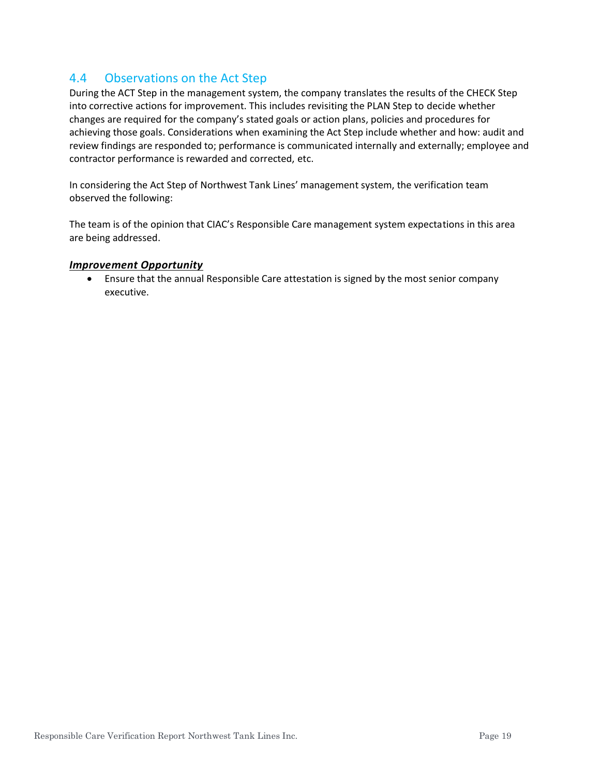#### 4.4 Observations on the Act Step

During the ACT Step in the management system, the company translates the results of the CHECK Step into corrective actions for improvement. This includes revisiting the PLAN Step to decide whether changes are required for the company's stated goals or action plans, policies and procedures for achieving those goals. Considerations when examining the Act Step include whether and how: audit and review findings are responded to; performance is communicated internally and externally; employee and contractor performance is rewarded and corrected, etc.

In considering the Act Step of Northwest Tank Lines' management system, the verification team observed the following:

The team is of the opinion that CIAC's Responsible Care management system expectations in this area are being addressed.

#### *Improvement Opportunity*

• Ensure that the annual Responsible Care attestation is signed by the most senior company executive.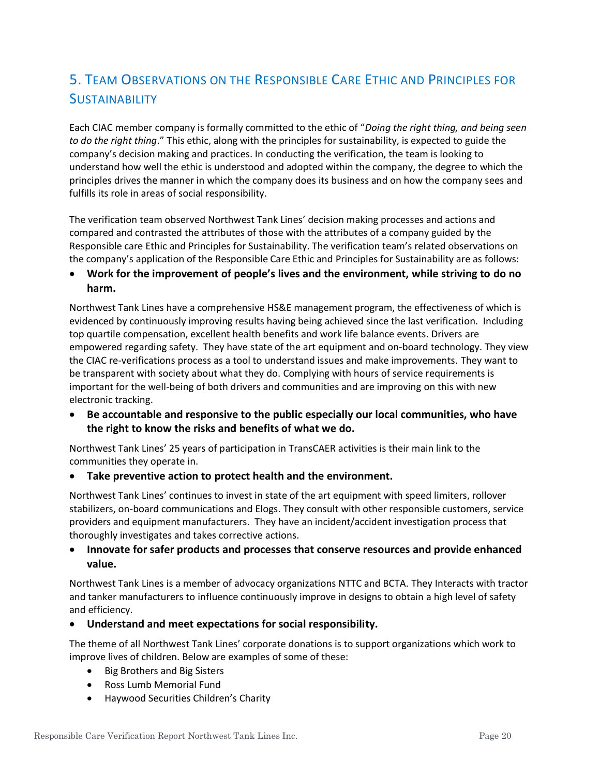# 5. TEAM OBSERVATIONS ON THE RESPONSIBLE CARE ETHIC AND PRINCIPLES FOR **SUSTAINABILITY**

Each CIAC member company is formally committed to the ethic of "*Doing the right thing, and being seen to do the right thing*." This ethic, along with the principles for sustainability, is expected to guide the company's decision making and practices. In conducting the verification, the team is looking to understand how well the ethic is understood and adopted within the company, the degree to which the principles drives the manner in which the company does its business and on how the company sees and fulfills its role in areas of social responsibility.

The verification team observed Northwest Tank Lines' decision making processes and actions and compared and contrasted the attributes of those with the attributes of a company guided by the Responsible care Ethic and Principles for Sustainability. The verification team's related observations on the company's application of the Responsible Care Ethic and Principles for Sustainability are as follows:

#### • **Work for the improvement of people's lives and the environment, while striving to do no harm.**

Northwest Tank Lines have a comprehensive HS&E management program, the effectiveness of which is evidenced by continuously improving results having being achieved since the last verification. Including top quartile compensation, excellent health benefits and work life balance events. Drivers are empowered regarding safety. They have state of the art equipment and on-board technology. They view the CIAC re-verifications process as a tool to understand issues and make improvements. They want to be transparent with society about what they do. Complying with hours of service requirements is important for the well-being of both drivers and communities and are improving on this with new electronic tracking.

• **Be accountable and responsive to the public especially our local communities, who have the right to know the risks and benefits of what we do.**

Northwest Tank Lines' 25 years of participation in TransCAER activities is their main link to the communities they operate in.

• **Take preventive action to protect health and the environment.**

Northwest Tank Lines' continues to invest in state of the art equipment with speed limiters, rollover stabilizers, on-board communications and Elogs. They consult with other responsible customers, service providers and equipment manufacturers. They have an incident/accident investigation process that thoroughly investigates and takes corrective actions.

#### • **Innovate for safer products and processes that conserve resources and provide enhanced value.**

Northwest Tank Lines is a member of advocacy organizations NTTC and BCTA. They Interacts with tractor and tanker manufacturers to influence continuously improve in designs to obtain a high level of safety and efficiency.

#### • **Understand and meet expectations for social responsibility.**

The theme of all Northwest Tank Lines' corporate donations is to support organizations which work to improve lives of children. Below are examples of some of these:

- Big Brothers and Big Sisters
- Ross Lumb Memorial Fund
- Haywood Securities Children's Charity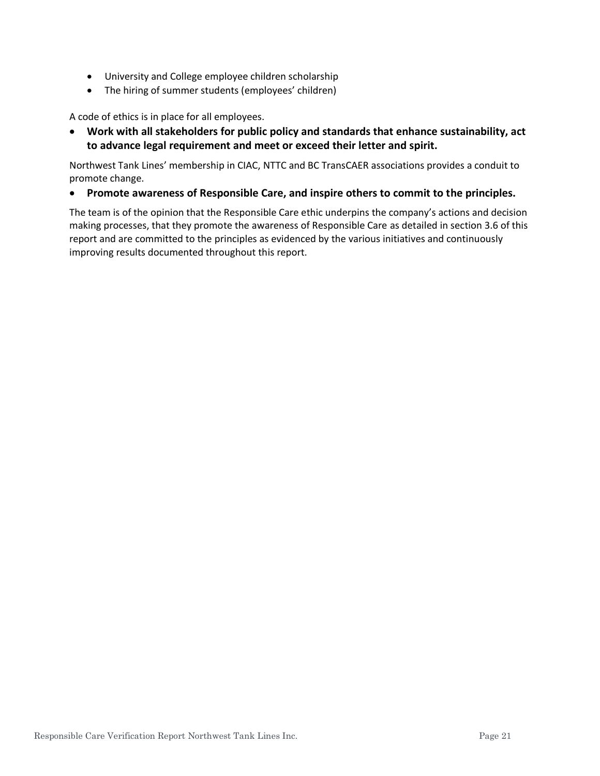- University and College employee children scholarship
- The hiring of summer students (employees' children)

A code of ethics is in place for all employees.

• **Work with all stakeholders for public policy and standards that enhance sustainability, act to advance legal requirement and meet or exceed their letter and spirit.**

Northwest Tank Lines' membership in CIAC, NTTC and BC TransCAER associations provides a conduit to promote change.

• **Promote awareness of Responsible Care, and inspire others to commit to the principles.**

The team is of the opinion that the Responsible Care ethic underpins the company's actions and decision making processes, that they promote the awareness of Responsible Care as detailed in section 3.6 of this report and are committed to the principles as evidenced by the various initiatives and continuously improving results documented throughout this report.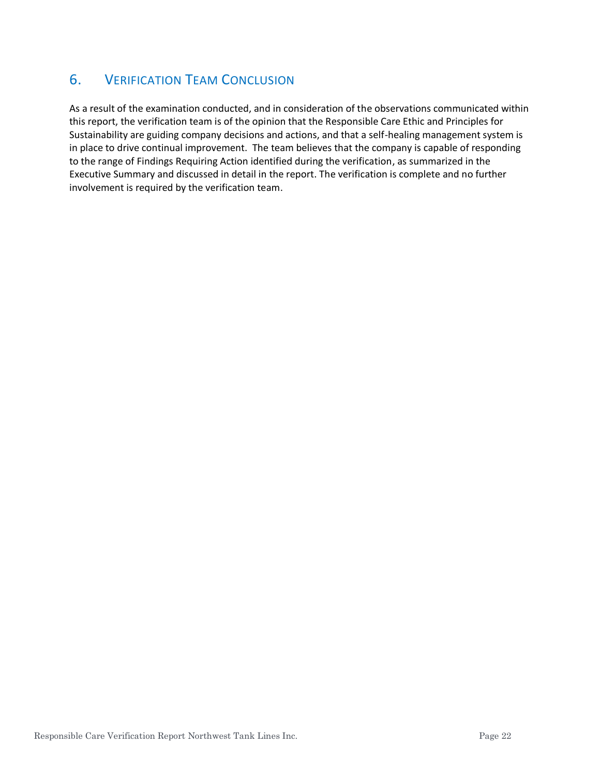# 6. VERIFICATION TEAM CONCLUSION

As a result of the examination conducted, and in consideration of the observations communicated within this report, the verification team is of the opinion that the Responsible Care Ethic and Principles for Sustainability are guiding company decisions and actions, and that a self-healing management system is in place to drive continual improvement. The team believes that the company is capable of responding to the range of Findings Requiring Action identified during the verification, as summarized in the Executive Summary and discussed in detail in the report. The verification is complete and no further involvement is required by the verification team.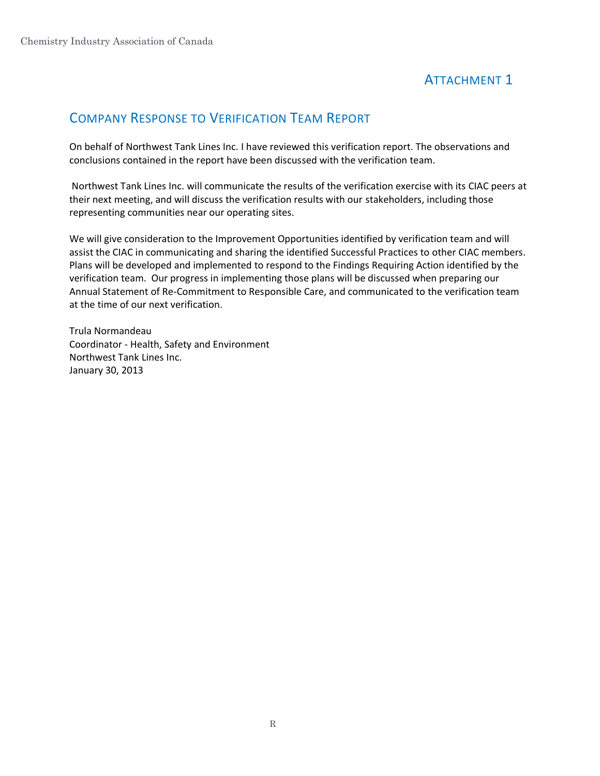# ATTACHMENT 1

# COMPANY RESPONSE TO VERIFICATION TEAM REPORT

On behalf of Northwest Tank Lines Inc. I have reviewed this verification report. The observations and conclusions contained in the report have been discussed with the verification team.

Northwest Tank Lines Inc. will communicate the results of the verification exercise with its CIAC peers at their next meeting, and will discuss the verification results with our stakeholders, including those representing communities near our operating sites.

We will give consideration to the Improvement Opportunities identified by verification team and will assist the CIAC in communicating and sharing the identified Successful Practices to other CIAC members. Plans will be developed and implemented to respond to the Findings Requiring Action identified by the verification team. Our progress in implementing those plans will be discussed when preparing our Annual Statement of Re-Commitment to Responsible Care, and communicated to the verification team at the time of our next verification.

Trula Normandeau Coordinator - Health, Safety and Environment Northwest Tank Lines Inc. January 30, 2013